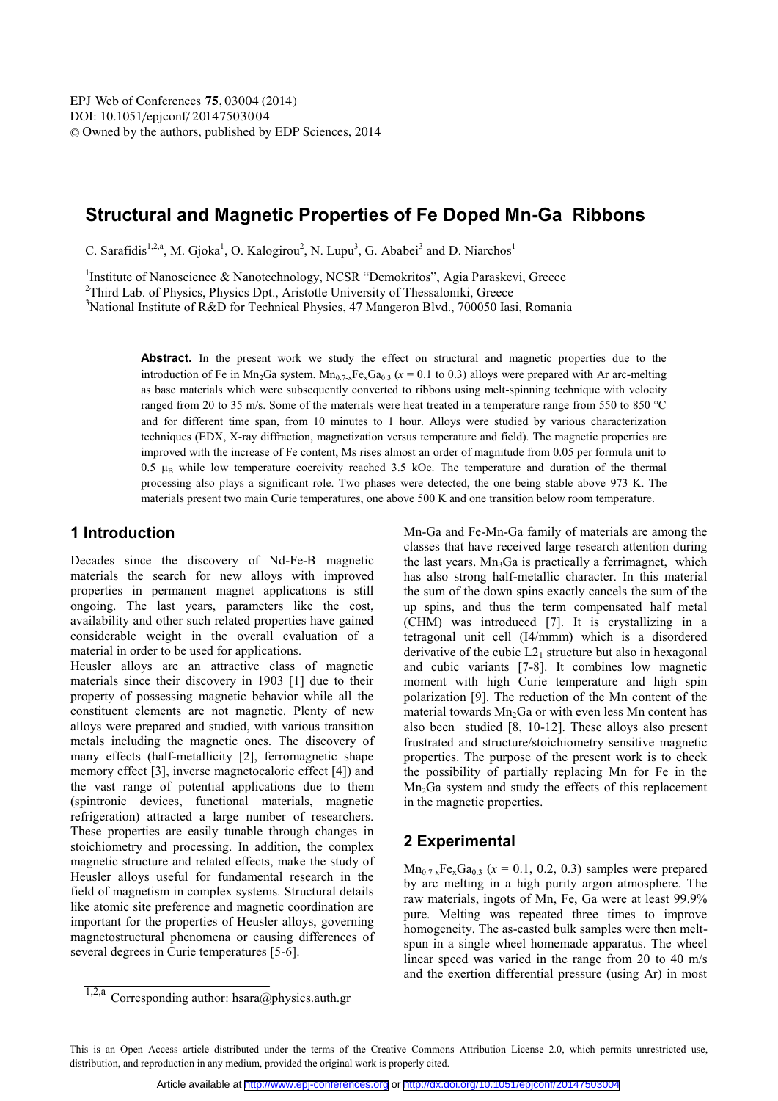# **Structural and Magnetic Properties of Fe Doped Mn-Ga Ribbons**

C. Sarafidis<sup>1,2,a</sup>, M. Gjoka<sup>1</sup>, O. Kalogirou<sup>2</sup>, N. Lupu<sup>3</sup>, G. Ababei<sup>3</sup> and D. Niarchos<sup>1</sup>

<sup>1</sup>Institute of Nanoscience & Nanotechnology, NCSR "Demokritos", Agia Paraskevi, Greece <sup>2</sup>Third Lab of Physics, Physics Dpt. Aristotle University of Thesseloniki, Greece

<sup>2</sup>Third Lab. of Physics, Physics Dpt., Aristotle University of Thessaloniki, Greece

<sup>3</sup>National Institute of R&D for Technical Physics, 47 Mangeron Blvd., 700050 Iasi, Romania

Abstract. In the present work we study the effect on structural and magnetic properties due to the introduction of Fe in Mn<sub>2</sub>Ga system. Mn<sub>0.7-x</sub>Fe<sub>x</sub>Ga<sub>0.3</sub> ( $x = 0.1$  to 0.3) alloys were prepared with Ar arc-melting as base materials which were subsequently converted to ribbons using melt-spinning technique with velocity ranged from 20 to 35 m/s. Some of the materials were heat treated in a temperature range from 550 to 850 °C and for different time span, from 10 minutes to 1 hour. Alloys were studied by various characterization techniques (EDX, X-ray diffraction, magnetization versus temperature and field). The magnetic properties are improved with the increase of Fe content, Ms rises almost an order of magnitude from 0.05 per formula unit to 0.5  $\mu_B$  while low temperature coercivity reached 3.5 kOe. The temperature and duration of the thermal processing also plays a significant role. Two phases were detected, the one being stable above 973 K. The materials present two main Curie temperatures, one above 500 K and one transition below room temperature.

### **1 Introduction**

Decades since the discovery of Nd-Fe-B magnetic materials the search for new alloys with improved properties in permanent magnet applications is still ongoing. The last years, parameters like the cost, availability and other such related properties have gained considerable weight in the overall evaluation of a material in order to be used for applications.

Heusler alloys are an attractive class of magnetic materials since their discovery in 1903 [1] due to their property of possessing magnetic behavior while all the constituent elements are not magnetic. Plenty of new alloys were prepared and studied, with various transition metals including the magnetic ones. The discovery of many effects (half-metallicity [2], ferromagnetic shape memory effect [3], inverse magnetocaloric effect [4]) and the vast range of potential applications due to them (spintronic devices, functional materials, magnetic refrigeration) attracted a large number of researchers. These properties are easily tunable through changes in stoichiometry and processing. In addition, the complex magnetic structure and related effects, make the study of Heusler alloys useful for fundamental research in the field of magnetism in complex systems. Structural details like atomic site preference and magnetic coordination are important for the properties of Heusler alloys, governing magnetostructural phenomena or causing differences of several degrees in Curie temperatures [5-6].

Mn-Ga and Fe-Mn-Ga family of materials are among the classes that have received large research attention during the last years.  $Mn_3Ga$  is practically a ferrimagnet, which has also strong half-metallic character. In this material the sum of the down spins exactly cancels the sum of the up spins, and thus the term compensated half metal (CHM) was introduced [7]. It is crystallizing in a tetragonal unit cell (I4/mmm) which is a disordered derivative of the cubic  $L2_1$  structure but also in hexagonal and cubic variants [7-8]. It combines low magnetic moment with high Curie temperature and high spin polarization [9]. The reduction of the Mn content of the material towards  $Mn<sub>2</sub>Ga$  or with even less Mn content has also been studied [8, 10-12]. These alloys also present frustrated and structure/stoichiometry sensitive magnetic properties. The purpose of the present work is to check the possibility of partially replacing Mn for Fe in the Mn<sub>2</sub>Ga system and study the effects of this replacement in the magnetic properties.

### **2 Experimental**

 $Mn_{0.7-x}Fe_{x}Ga_{0.3}$  ( $x = 0.1, 0.2, 0.3$ ) samples were prepared by arc melting in a high purity argon atmosphere. The raw materials, ingots of Mn, Fe, Ga were at least 99.9% pure. Melting was repeated three times to improve homogeneity. The as-casted bulk samples were then meltspun in a single wheel homemade apparatus. The wheel linear speed was varied in the range from 20 to 40 m/s and the exertion differential pressure (using Ar) in most

<sup>1,2,</sup>a Corresponding author: hsara@physics.auth.gr

This is an Open Access article distributed under the terms of the Creative Commons Attribution License 2.0, which permits unrestricted use, distribution, and reproduction in any medium, provided the original work is properly cited.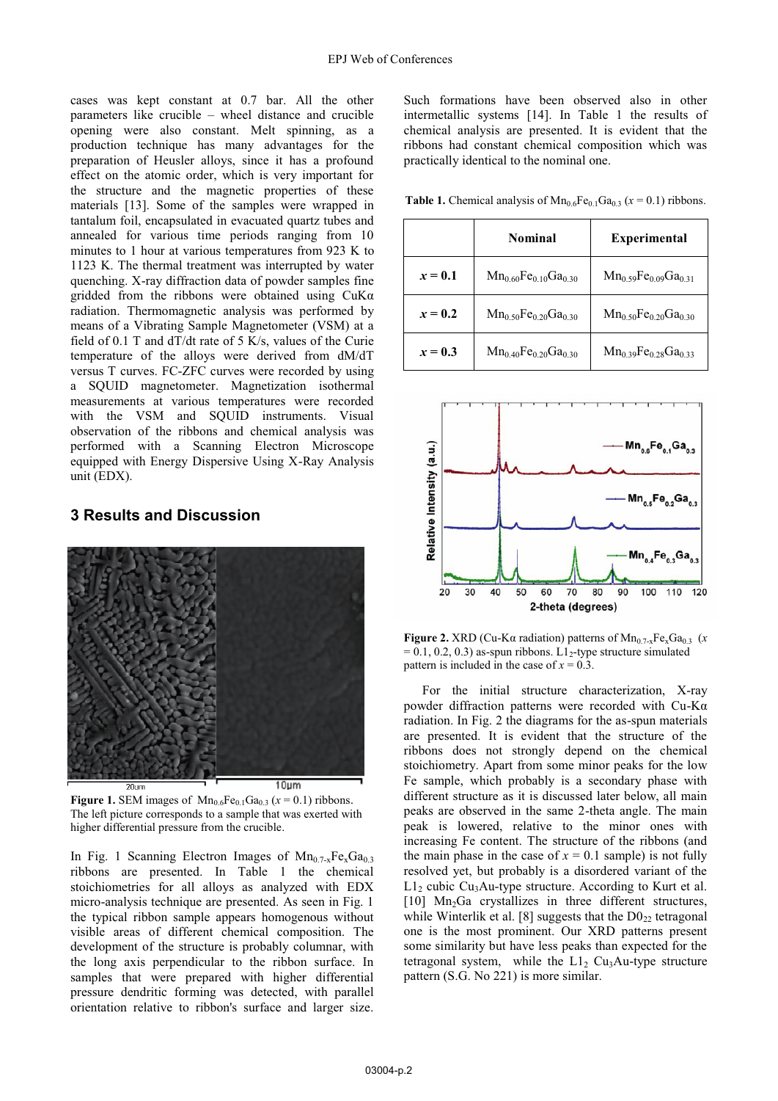cases was kept constant at 0.7 bar. All the other parameters like crucible – wheel distance and crucible opening were also constant. Melt spinning, as a production technique has many advantages for the preparation of Heusler alloys, since it has a profound effect on the atomic order, which is very important for the structure and the magnetic properties of these materials [13]. Some of the samples were wrapped in tantalum foil, encapsulated in evacuated quartz tubes and annealed for various time periods ranging from 10 minutes to 1 hour at various temperatures from 923 K to 1123 K. The thermal treatment was interrupted by water quenching. X-ray diffraction data of powder samples fine gridded from the ribbons were obtained using CuKα radiation. Thermomagnetic analysis was performed by means of a Vibrating Sample Magnetometer (VSM) at a field of 0.1 T and dT/dt rate of 5 K/s, values of the Curie temperature of the alloys were derived from dM/dT versus T curves. FC-ZFC curves were recorded by using a SQUID magnetometer. Magnetization isothermal measurements at various temperatures were recorded with the VSM and SQUID instruments. Visual observation of the ribbons and chemical analysis was performed with a Scanning Electron Microscope equipped with Energy Dispersive Using X-Ray Analysis unit (EDX).

## **3 Results and Discussion**



**Figure 1.** SEM images of  $Mn_{0.6}Fe_{0.1}Ga_{0.3}$  ( $x = 0.1$ ) ribbons. The left picture corresponds to a sample that was exerted with higher differential pressure from the crucible.

In Fig. 1 Scanning Electron Images of  $Mn_{0.7-x}Fe_{x}Ga_{0.3}$ ribbons are presented. In Table 1 the chemical stoichiometries for all alloys as analyzed with EDX micro-analysis technique are presented. As seen in Fig. 1 the typical ribbon sample appears homogenous without visible areas of different chemical composition. The development of the structure is probably columnar, with the long axis perpendicular to the ribbon surface. In samples that were prepared with higher differential pressure dendritic forming was detected, with parallel orientation relative to ribbon's surface and larger size.

Such formations have been observed also in other intermetallic systems [14]. In Table 1 the results of chemical analysis are presented. It is evident that the ribbons had constant chemical composition which was practically identical to the nominal one.

**Table 1.** Chemical analysis of  $\text{Mn}_{0.6}\text{Fe}_{0.1}\text{Ga}_{0.3}$  ( $x = 0.1$ ) ribbons.

|           | Nominal                       | <b>Experimental</b>                             |  |
|-----------|-------------------------------|-------------------------------------------------|--|
| $x=0.1$   | $Mn_0$ 60 $Fe$ 10 $Ga$ 30     | $Mn_0$ 59 $Fe_0$ 09 $Ga_0$ 31                   |  |
| $x = 0.2$ | $Mn_{0.50}Fe_{0.20}Ga_{0.30}$ | $Mn_{0.50}Fe_{0.20}Ga_{0.30}$                   |  |
| $x = 0.3$ | $Mn_{0.40}Fe_{0.20}Ga_{0.30}$ | $Mn_0$ 39 Fe <sub>0.28</sub> Ga <sub>0.33</sub> |  |



**Figure 2.** XRD (Cu-K $\alpha$  radiation) patterns of Mn<sub>0.7-x</sub>Fe<sub>x</sub>Ga<sub>0.3</sub> (*x*)  $= 0.1, 0.2, 0.3$  as-spun ribbons. L1<sup>2</sup>-type structure simulated pattern is included in the case of  $x = 0.3$ .

For the initial structure characterization, X-ray powder diffraction patterns were recorded with Cu-Kα radiation. In Fig. 2 the diagrams for the as-spun materials are presented. It is evident that the structure of the ribbons does not strongly depend on the chemical stoichiometry. Apart from some minor peaks for the low Fe sample, which probably is a secondary phase with different structure as it is discussed later below, all main peaks are observed in the same 2-theta angle. The main peak is lowered, relative to the minor ones with increasing Fe content. The structure of the ribbons (and the main phase in the case of  $x = 0.1$  sample) is not fully resolved yet, but probably is a disordered variant of the  $L1<sub>2</sub>$  cubic Cu<sub>3</sub>Au-type structure. According to Kurt et al. [10] Mn<sub>2</sub>Ga crystallizes in three different structures, while Winterlik et al. [8] suggests that the  $D0_{22}$  tetragonal one is the most prominent. Our XRD patterns present some similarity but have less peaks than expected for the tetragonal system, while the  $L_1$ <sub>2</sub> Cu<sub>3</sub>Au-type structure pattern (S.G. No 221) is more similar.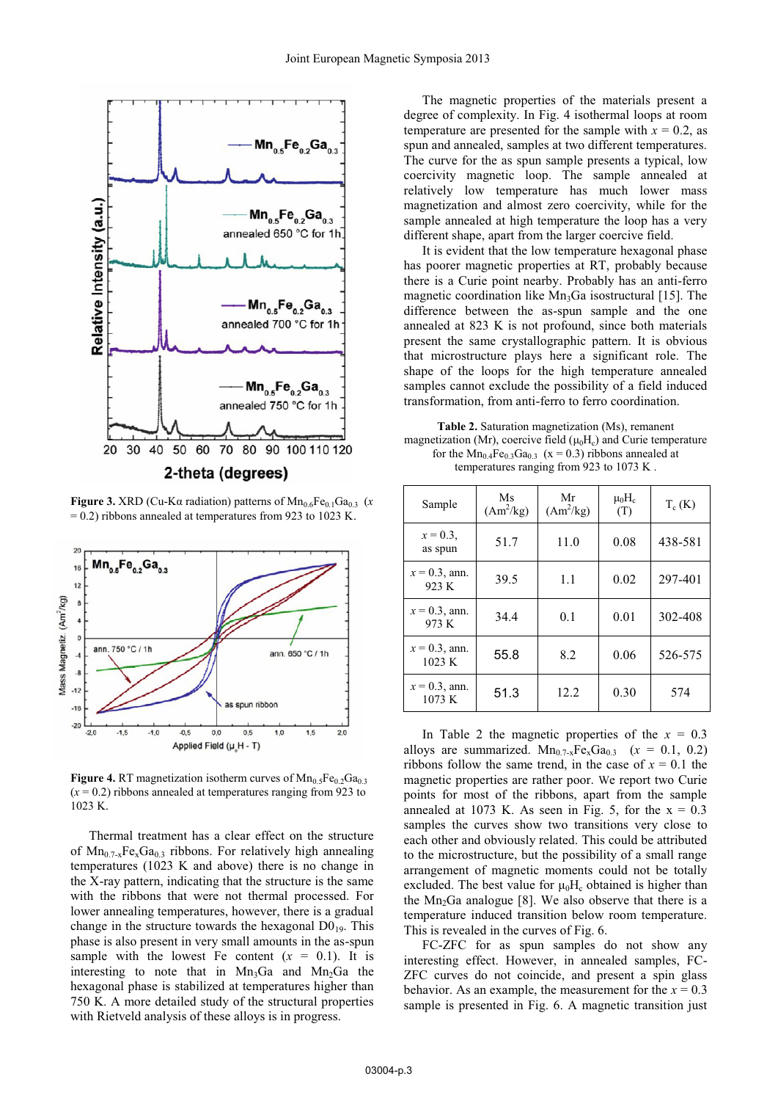

**Figure 3.** XRD (Cu-K $\alpha$  radiation) patterns of  $\text{Mn}_{0.6}\text{Fe}_{0.1}\text{Ga}_{0.3}$  (*x* = 0.2) ribbons annealed at temperatures from 923 to 1023 K.



**Figure 4.** RT magnetization isotherm curves of  $Mn_{0.5}Fe_{0.2}Ga_{0.3}$  $(x = 0.2)$  ribbons annealed at temperatures ranging from 923 to 1023 K.

Thermal treatment has a clear effect on the structure of  $Mn_{0.7-x}Fe_{x}Ga_{0.3}$  ribbons. For relatively high annealing temperatures (1023 K and above) there is no change in the X-ray pattern, indicating that the structure is the same with the ribbons that were not thermal processed. For lower annealing temperatures, however, there is a gradual change in the structure towards the hexagonal  $D0_{19}$ . This phase is also present in very small amounts in the as-spun sample with the lowest Fe content  $(x = 0.1)$ . It is interesting to note that in  $Mn_3Ga$  and  $Mn_2Ga$  the hexagonal phase is stabilized at temperatures higher than 750 K. A more detailed study of the structural properties with Rietveld analysis of these alloys is in progress.

The magnetic properties of the materials present a degree of complexity. In Fig. 4 isothermal loops at room temperature are presented for the sample with  $x = 0.2$ , as spun and annealed, samples at two different temperatures. The curve for the as spun sample presents a typical, low coercivity magnetic loop. The sample annealed at relatively low temperature has much lower mass magnetization and almost zero coercivity, while for the sample annealed at high temperature the loop has a very different shape, apart from the larger coercive field.

It is evident that the low temperature hexagonal phase has poorer magnetic properties at RT, probably because there is a Curie point nearby. Probably has an anti-ferro magnetic coordination like  $Mn_3Ga$  isostructural [15]. The difference between the as-spun sample and the one annealed at 823 K is not profound, since both materials present the same crystallographic pattern. It is obvious that microstructure plays here a significant role. The shape of the loops for the high temperature annealed samples cannot exclude the possibility of a field induced transformation, from anti-ferro to ferro coordination.

**Table 2.** Saturation magnetization (Ms), remanent magnetization (Mr), coercive field  $(\mu_0H_c)$  and Curie temperature for the  $Mn_{0.4}Fe_{0.3}Ga_{0.3}$  (x = 0.3) ribbons annealed at temperatures ranging from 923 to 1073 K .

| Sample                     | Ms<br>$(Am^2/kg)$ | Mr<br>$(Am^2/kg)$ | $\mu_0$ H <sub>c</sub><br>(T) | $T_c(K)$ |
|----------------------------|-------------------|-------------------|-------------------------------|----------|
| $x = 0.3$ ,<br>as spun     | 51.7              | 11.0              | 0.08                          | 438-581  |
| $x = 0.3$ , ann.<br>923 K  | 39.5              | 1.1               | 0.02                          | 297-401  |
| $x = 0.3$ , ann.<br>973 K  | 34.4              | 0.1               | 0.01                          | 302-408  |
| $x = 0.3$ , ann.<br>1023 K | 55.8              | 8.2               | 0.06                          | 526-575  |
| $x = 0.3$ , ann.<br>1073 K | 51.3              | 12.2              | 0.30                          | 574      |

In Table 2 the magnetic properties of the  $x = 0.3$ alloys are summarized.  $Mn_{0.7-x}Fe_{x}Ga_{0.3}$  ( $x = 0.1, 0.2$ ) ribbons follow the same trend, in the case of  $x = 0.1$  the magnetic properties are rather poor. We report two Curie points for most of the ribbons, apart from the sample annealed at 1073 K. As seen in Fig. 5, for the  $x = 0.3$ samples the curves show two transitions very close to each other and obviously related. This could be attributed to the microstructure, but the possibility of a small range arrangement of magnetic moments could not be totally excluded. The best value for  $\mu_0H_c$  obtained is higher than the  $Mn_2Ga$  analogue [8]. We also observe that there is a temperature induced transition below room temperature. This is revealed in the curves of Fig. 6.

FC-ZFC for as spun samples do not show any interesting effect. However, in annealed samples, FC-ZFC curves do not coincide, and present a spin glass behavior. As an example, the measurement for the  $x = 0.3$ sample is presented in Fig. 6. A magnetic transition just